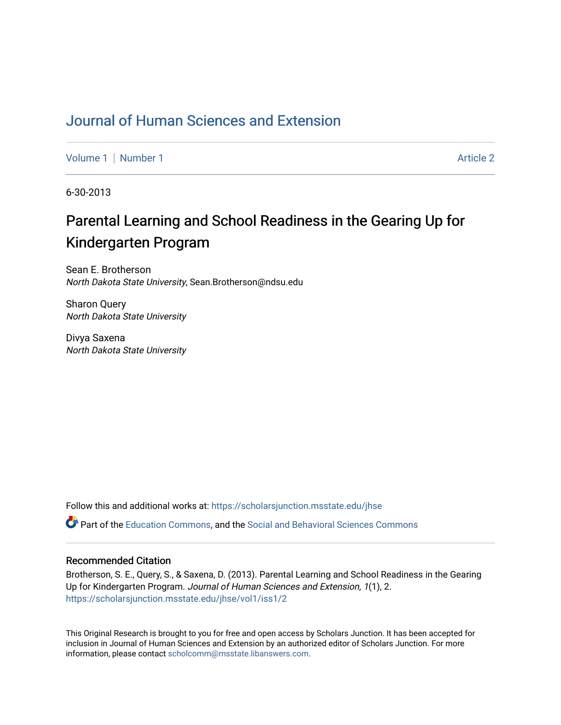## [Journal of Human Sciences and Extension](https://scholarsjunction.msstate.edu/jhse)

[Volume 1](https://scholarsjunction.msstate.edu/jhse/vol1) | [Number 1](https://scholarsjunction.msstate.edu/jhse/vol1/iss1) Article 2

6-30-2013

# Parental Learning and School Readiness in the Gearing Up for Kindergarten Program

Sean E. Brotherson North Dakota State University, Sean.Brotherson@ndsu.edu

Sharon Query North Dakota State University

Divya Saxena North Dakota State University

Follow this and additional works at: [https://scholarsjunction.msstate.edu/jhse](https://scholarsjunction.msstate.edu/jhse?utm_source=scholarsjunction.msstate.edu%2Fjhse%2Fvol1%2Fiss1%2F2&utm_medium=PDF&utm_campaign=PDFCoverPages)

Part of the [Education Commons](http://network.bepress.com/hgg/discipline/784?utm_source=scholarsjunction.msstate.edu%2Fjhse%2Fvol1%2Fiss1%2F2&utm_medium=PDF&utm_campaign=PDFCoverPages), and the [Social and Behavioral Sciences Commons](http://network.bepress.com/hgg/discipline/316?utm_source=scholarsjunction.msstate.edu%2Fjhse%2Fvol1%2Fiss1%2F2&utm_medium=PDF&utm_campaign=PDFCoverPages) 

#### Recommended Citation

Brotherson, S. E., Query, S., & Saxena, D. (2013). Parental Learning and School Readiness in the Gearing Up for Kindergarten Program. Journal of Human Sciences and Extension, 1(1), 2. [https://scholarsjunction.msstate.edu/jhse/vol1/iss1/2](https://scholarsjunction.msstate.edu/jhse/vol1/iss1/2?utm_source=scholarsjunction.msstate.edu%2Fjhse%2Fvol1%2Fiss1%2F2&utm_medium=PDF&utm_campaign=PDFCoverPages)

This Original Research is brought to you for free and open access by Scholars Junction. It has been accepted for inclusion in Journal of Human Sciences and Extension by an authorized editor of Scholars Junction. For more information, please contact [scholcomm@msstate.libanswers.com](mailto:scholcomm@msstate.libanswers.com).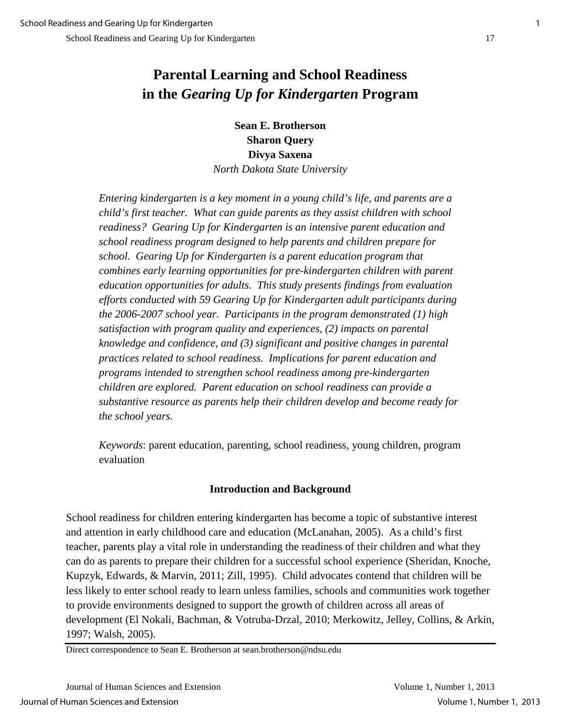## **Parental Learning and School Readiness in the** *Gearing Up for Kindergarten* **Program**

**Sean E. Brotherson Sharon Query Divya Saxena** 

*North Dakota State University* 

*Entering kindergarten is a key moment in a young child's life, and parents are a child's first teacher. What can guide parents as they assist children with school readiness? Gearing Up for Kindergarten is an intensive parent education and school readiness program designed to help parents and children prepare for school. Gearing Up for Kindergarten is a parent education program that combines early learning opportunities for pre-kindergarten children with parent education opportunities for adults. This study presents findings from evaluation efforts conducted with 59 Gearing Up for Kindergarten adult participants during the 2006-2007 school year. Participants in the program demonstrated (1) high satisfaction with program quality and experiences, (2) impacts on parental knowledge and confidence, and (3) significant and positive changes in parental practices related to school readiness. Implications for parent education and programs intended to strengthen school readiness among pre-kindergarten children are explored. Parent education on school readiness can provide a substantive resource as parents help their children develop and become ready for the school years.* 

*Keywords*: parent education, parenting, school readiness, young children, program evaluation

## **Introduction and Background**

School readiness for children entering kindergarten has become a topic of substantive interest and attention in early childhood care and education (McLanahan, 2005). As a child's first teacher, parents play a vital role in understanding the readiness of their children and what they can do as parents to prepare their children for a successful school experience (Sheridan, Knoche, Kupzyk, Edwards, & Marvin, 2011; Zill, 1995). Child advocates contend that children will be less likely to enter school ready to learn unless families, schools and communities work together to provide environments designed to support the growth of children across all areas of development (El Nokali, Bachman, & Votruba-Drzal, 2010; Merkowitz, Jelley, Collins, & Arkin, 1997; Walsh, 2005).

Direct correspondence to Sean E. Brotherson at sean.brotherson@ndsu.edu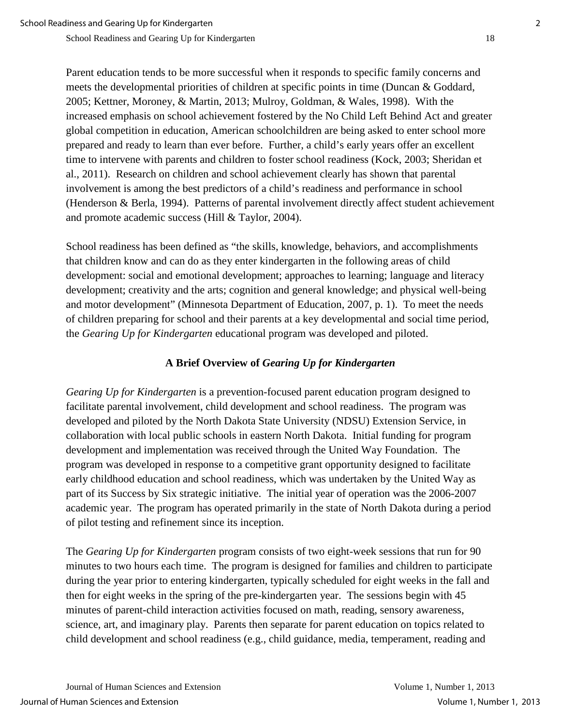Parent education tends to be more successful when it responds to specific family concerns and meets the developmental priorities of children at specific points in time (Duncan & Goddard, 2005; Kettner, Moroney, & Martin, 2013; Mulroy, Goldman, & Wales, 1998). With the increased emphasis on school achievement fostered by the No Child Left Behind Act and greater global competition in education, American schoolchildren are being asked to enter school more prepared and ready to learn than ever before. Further, a child's early years offer an excellent time to intervene with parents and children to foster school readiness (Kock, 2003; Sheridan et al., 2011). Research on children and school achievement clearly has shown that parental involvement is among the best predictors of a child's readiness and performance in school (Henderson & Berla, 1994). Patterns of parental involvement directly affect student achievement and promote academic success (Hill & Taylor, 2004).

School readiness has been defined as "the skills, knowledge, behaviors, and accomplishments that children know and can do as they enter kindergarten in the following areas of child development: social and emotional development; approaches to learning; language and literacy development; creativity and the arts; cognition and general knowledge; and physical well-being and motor development" (Minnesota Department of Education, 2007, p. 1). To meet the needs of children preparing for school and their parents at a key developmental and social time period, the *Gearing Up for Kindergarten* educational program was developed and piloted.

## **A Brief Overview of** *Gearing Up for Kindergarten*

*Gearing Up for Kindergarten* is a prevention-focused parent education program designed to facilitate parental involvement, child development and school readiness. The program was developed and piloted by the North Dakota State University (NDSU) Extension Service, in collaboration with local public schools in eastern North Dakota. Initial funding for program development and implementation was received through the United Way Foundation. The program was developed in response to a competitive grant opportunity designed to facilitate early childhood education and school readiness, which was undertaken by the United Way as part of its Success by Six strategic initiative. The initial year of operation was the 2006-2007 academic year. The program has operated primarily in the state of North Dakota during a period of pilot testing and refinement since its inception.

The *Gearing Up for Kindergarten* program consists of two eight-week sessions that run for 90 minutes to two hours each time. The program is designed for families and children to participate during the year prior to entering kindergarten, typically scheduled for eight weeks in the fall and then for eight weeks in the spring of the pre-kindergarten year. The sessions begin with 45 minutes of parent-child interaction activities focused on math, reading, sensory awareness, science, art, and imaginary play. Parents then separate for parent education on topics related to child development and school readiness (e.g., child guidance, media, temperament, reading and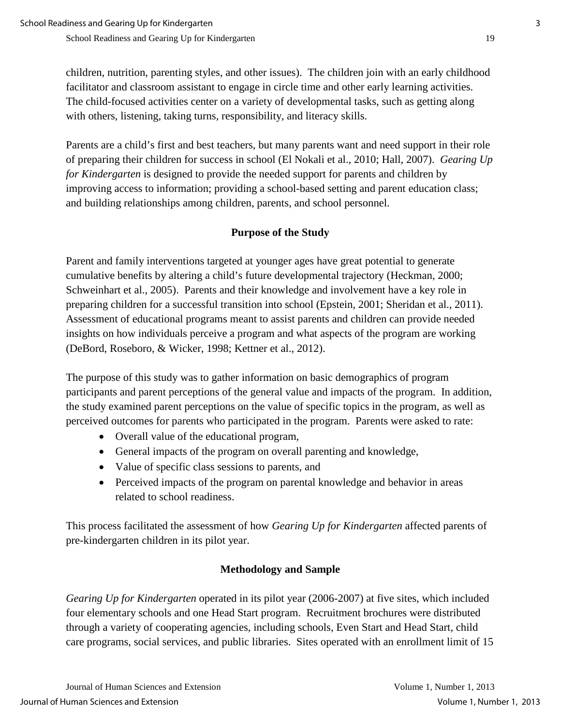children, nutrition, parenting styles, and other issues). The children join with an early childhood facilitator and classroom assistant to engage in circle time and other early learning activities. The child-focused activities center on a variety of developmental tasks, such as getting along with others, listening, taking turns, responsibility, and literacy skills.

Parents are a child's first and best teachers, but many parents want and need support in their role of preparing their children for success in school (El Nokali et al., 2010; Hall, 2007). *Gearing Up for Kindergarten* is designed to provide the needed support for parents and children by improving access to information; providing a school-based setting and parent education class; and building relationships among children, parents, and school personnel.

## **Purpose of the Study**

Parent and family interventions targeted at younger ages have great potential to generate cumulative benefits by altering a child's future developmental trajectory (Heckman, 2000; Schweinhart et al., 2005). Parents and their knowledge and involvement have a key role in preparing children for a successful transition into school (Epstein, 2001; Sheridan et al., 2011). Assessment of educational programs meant to assist parents and children can provide needed insights on how individuals perceive a program and what aspects of the program are working (DeBord, Roseboro, & Wicker, 1998; Kettner et al., 2012).

The purpose of this study was to gather information on basic demographics of program participants and parent perceptions of the general value and impacts of the program. In addition, the study examined parent perceptions on the value of specific topics in the program, as well as perceived outcomes for parents who participated in the program. Parents were asked to rate:

- Overall value of the educational program,
- General impacts of the program on overall parenting and knowledge,
- Value of specific class sessions to parents, and
- Perceived impacts of the program on parental knowledge and behavior in areas related to school readiness.

This process facilitated the assessment of how *Gearing Up for Kindergarten* affected parents of pre-kindergarten children in its pilot year.

## **Methodology and Sample**

*Gearing Up for Kindergarten* operated in its pilot year (2006-2007) at five sites, which included four elementary schools and one Head Start program. Recruitment brochures were distributed through a variety of cooperating agencies, including schools, Even Start and Head Start, child care programs, social services, and public libraries. Sites operated with an enrollment limit of 15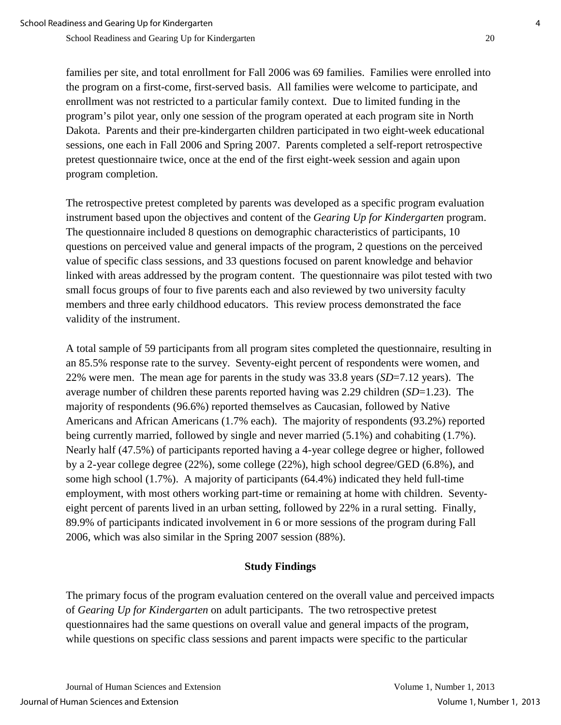families per site, and total enrollment for Fall 2006 was 69 families. Families were enrolled into the program on a first-come, first-served basis. All families were welcome to participate, and enrollment was not restricted to a particular family context. Due to limited funding in the program's pilot year, only one session of the program operated at each program site in North Dakota. Parents and their pre-kindergarten children participated in two eight-week educational sessions, one each in Fall 2006 and Spring 2007. Parents completed a self-report retrospective pretest questionnaire twice, once at the end of the first eight-week session and again upon program completion.

The retrospective pretest completed by parents was developed as a specific program evaluation instrument based upon the objectives and content of the *Gearing Up for Kindergarten* program. The questionnaire included 8 questions on demographic characteristics of participants, 10 questions on perceived value and general impacts of the program, 2 questions on the perceived value of specific class sessions, and 33 questions focused on parent knowledge and behavior linked with areas addressed by the program content. The questionnaire was pilot tested with two small focus groups of four to five parents each and also reviewed by two university faculty members and three early childhood educators. This review process demonstrated the face validity of the instrument.

A total sample of 59 participants from all program sites completed the questionnaire, resulting in an 85.5% response rate to the survey. Seventy-eight percent of respondents were women, and 22% were men. The mean age for parents in the study was 33.8 years (*SD*=7.12 years). The average number of children these parents reported having was 2.29 children (*SD*=1.23). The majority of respondents (96.6%) reported themselves as Caucasian, followed by Native Americans and African Americans (1.7% each). The majority of respondents (93.2%) reported being currently married, followed by single and never married (5.1%) and cohabiting (1.7%). Nearly half (47.5%) of participants reported having a 4-year college degree or higher, followed by a 2-year college degree (22%), some college (22%), high school degree/GED (6.8%), and some high school (1.7%). A majority of participants (64.4%) indicated they held full-time employment, with most others working part-time or remaining at home with children. Seventyeight percent of parents lived in an urban setting, followed by 22% in a rural setting. Finally, 89.9% of participants indicated involvement in 6 or more sessions of the program during Fall 2006, which was also similar in the Spring 2007 session (88%).

## **Study Findings**

The primary focus of the program evaluation centered on the overall value and perceived impacts of *Gearing Up for Kindergarten* on adult participants. The two retrospective pretest questionnaires had the same questions on overall value and general impacts of the program, while questions on specific class sessions and parent impacts were specific to the particular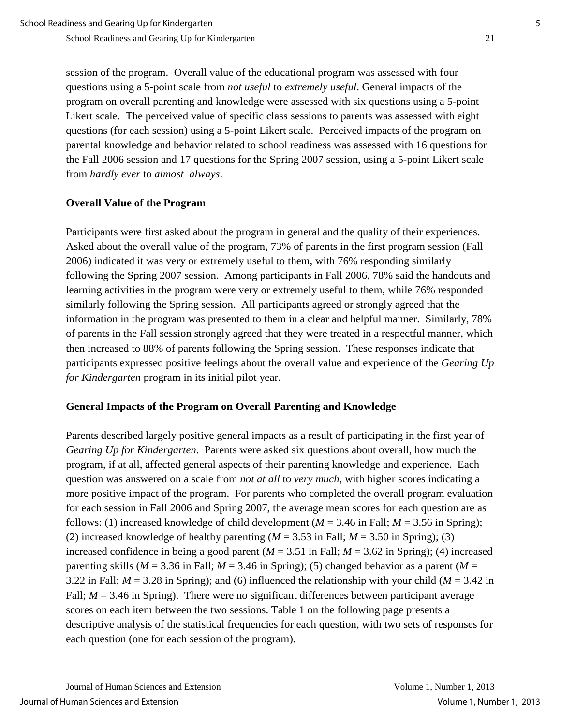session of the program. Overall value of the educational program was assessed with four questions using a 5-point scale from *not useful* to *extremely useful*. General impacts of the program on overall parenting and knowledge were assessed with six questions using a 5-point Likert scale. The perceived value of specific class sessions to parents was assessed with eight questions (for each session) using a 5-point Likert scale. Perceived impacts of the program on parental knowledge and behavior related to school readiness was assessed with 16 questions for the Fall 2006 session and 17 questions for the Spring 2007 session, using a 5-point Likert scale from *hardly ever* to *almost always*.

#### **Overall Value of the Program**

Participants were first asked about the program in general and the quality of their experiences. Asked about the overall value of the program, 73% of parents in the first program session (Fall 2006) indicated it was very or extremely useful to them, with 76% responding similarly following the Spring 2007 session. Among participants in Fall 2006, 78% said the handouts and learning activities in the program were very or extremely useful to them, while 76% responded similarly following the Spring session. All participants agreed or strongly agreed that the information in the program was presented to them in a clear and helpful manner. Similarly, 78% of parents in the Fall session strongly agreed that they were treated in a respectful manner, which then increased to 88% of parents following the Spring session. These responses indicate that participants expressed positive feelings about the overall value and experience of the *Gearing Up for Kindergarten* program in its initial pilot year.

#### **General Impacts of the Program on Overall Parenting and Knowledge**

Parents described largely positive general impacts as a result of participating in the first year of *Gearing Up for Kindergarten*. Parents were asked six questions about overall, how much the program, if at all, affected general aspects of their parenting knowledge and experience. Each question was answered on a scale from *not at all* to *very much*, with higher scores indicating a more positive impact of the program. For parents who completed the overall program evaluation for each session in Fall 2006 and Spring 2007, the average mean scores for each question are as follows: (1) increased knowledge of child development ( $M = 3.46$  in Fall;  $M = 3.56$  in Spring); (2) increased knowledge of healthy parenting  $(M = 3.53$  in Fall;  $M = 3.50$  in Spring); (3) increased confidence in being a good parent  $(M = 3.51$  in Fall;  $M = 3.62$  in Spring); (4) increased parenting skills ( $M = 3.36$  in Fall;  $M = 3.46$  in Spring); (5) changed behavior as a parent ( $M =$ 3.22 in Fall;  $M = 3.28$  in Spring); and (6) influenced the relationship with your child ( $M = 3.42$  in Fall;  $M = 3.46$  in Spring). There were no significant differences between participant average scores on each item between the two sessions. Table 1 on the following page presents a descriptive analysis of the statistical frequencies for each question, with two sets of responses for each question (one for each session of the program).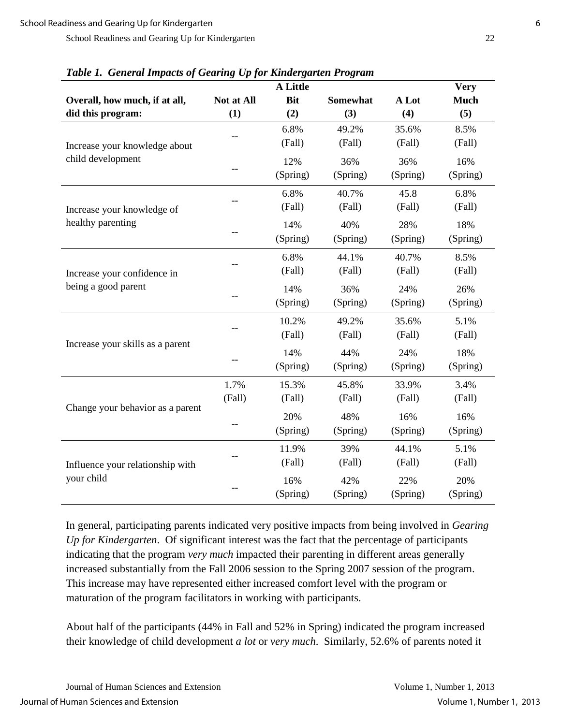| Table 1. General Impacts of Gearing Op for Kindergarten I rogram<br><b>A</b> Little<br><b>Very</b> |            |            |                 |          |             |
|----------------------------------------------------------------------------------------------------|------------|------------|-----------------|----------|-------------|
| Overall, how much, if at all,                                                                      | Not at All | <b>Bit</b> | <b>Somewhat</b> | A Lot    | <b>Much</b> |
| did this program:                                                                                  | (1)        | (2)        | (3)             | (4)      | (5)         |
|                                                                                                    |            | 6.8%       | 49.2%           | 35.6%    | 8.5%        |
| Increase your knowledge about                                                                      |            | (Fall)     | (Fall)          | (Fall)   | (Fall)      |
| child development                                                                                  |            | 12%        | 36%             | 36%      | 16%         |
|                                                                                                    |            | (Spring)   | (Spring)        | (Spring) | (Spring)    |
|                                                                                                    |            | 6.8%       | 40.7%           | 45.8     | 6.8%        |
| Increase your knowledge of                                                                         |            | (Fall)     | (Fall)          | (Fall)   | (Fall)      |
| healthy parenting                                                                                  |            | 14%        | 40%             | 28%      | 18%         |
|                                                                                                    |            | (Spring)   | (Spring)        | (Spring) | (Spring)    |
|                                                                                                    |            | 6.8%       | 44.1%           | 40.7%    | 8.5%        |
| Increase your confidence in                                                                        |            | (Fall)     | (Fall)          | (Fall)   | (Fall)      |
| being a good parent                                                                                |            | 14%        | 36%             | 24%      | 26%         |
|                                                                                                    |            | (Spring)   | (Spring)        | (Spring) | (Spring)    |
|                                                                                                    |            | 10.2%      | 49.2%           | 35.6%    | 5.1%        |
|                                                                                                    |            | (Fall)     | (Fall)          | (Fall)   | (Fall)      |
| Increase your skills as a parent                                                                   |            | 14%        | 44%             | 24%      | 18%         |
|                                                                                                    |            | (Spring)   | (Spring)        | (Spring) | (Spring)    |
| Change your behavior as a parent                                                                   | 1.7%       | 15.3%      | 45.8%           | 33.9%    | 3.4%        |
|                                                                                                    | (Fall)     | (Fall)     | (Fall)          | (Fall)   | (Fall)      |
|                                                                                                    |            | 20%        | 48%             | 16%      | 16%         |
|                                                                                                    |            | (Spring)   | (Spring)        | (Spring) | (Spring)    |
|                                                                                                    |            | 11.9%      | 39%             | 44.1%    | 5.1%        |
| Influence your relationship with                                                                   |            | (Fall)     | (Fall)          | (Fall)   | (Fall)      |
| your child                                                                                         |            | 16%        | 42%             | 22%      | 20%         |
|                                                                                                    |            | (Spring)   | (Spring)        | (Spring) | (Spring)    |

*Table 1. General Impacts of Gearing Up for Kindergarten Program* 

In general, participating parents indicated very positive impacts from being involved in *Gearing Up for Kindergarten*. Of significant interest was the fact that the percentage of participants indicating that the program *very much* impacted their parenting in different areas generally increased substantially from the Fall 2006 session to the Spring 2007 session of the program. This increase may have represented either increased comfort level with the program or maturation of the program facilitators in working with participants.

About half of the participants (44% in Fall and 52% in Spring) indicated the program increased their knowledge of child development *a lot* or *very much*. Similarly, 52.6% of parents noted it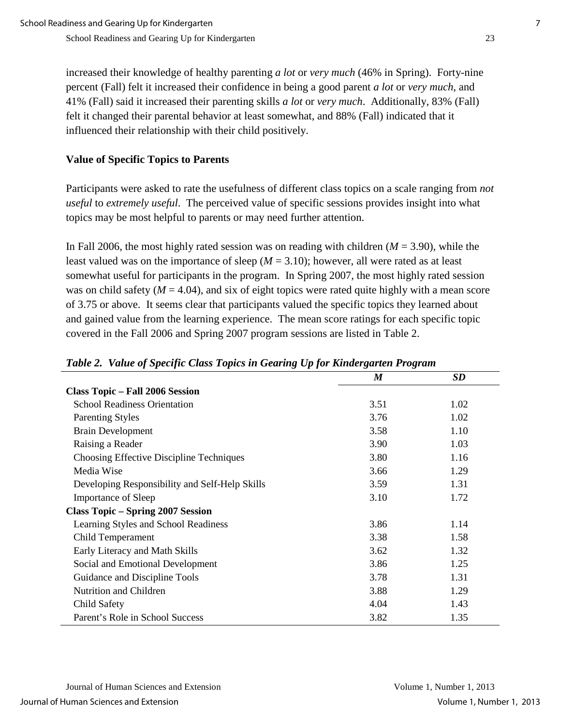increased their knowledge of healthy parenting *a lot* or *very much* (46% in Spring). Forty-nine percent (Fall) felt it increased their confidence in being a good parent *a lot* or *very much*, and 41% (Fall) said it increased their parenting skills *a lot* or *very much*. Additionally, 83% (Fall) felt it changed their parental behavior at least somewhat, and 88% (Fall) indicated that it influenced their relationship with their child positively.

## **Value of Specific Topics to Parents**

Participants were asked to rate the usefulness of different class topics on a scale ranging from *not useful* to *extremely useful*. The perceived value of specific sessions provides insight into what topics may be most helpful to parents or may need further attention.

In Fall 2006, the most highly rated session was on reading with children  $(M = 3.90)$ , while the least valued was on the importance of sleep  $(M = 3.10)$ ; however, all were rated as at least somewhat useful for participants in the program. In Spring 2007, the most highly rated session was on child safety  $(M = 4.04)$ , and six of eight topics were rated quite highly with a mean score of 3.75 or above. It seems clear that participants valued the specific topics they learned about and gained value from the learning experience. The mean score ratings for each specific topic covered in the Fall 2006 and Spring 2007 program sessions are listed in Table 2.

|                                                | $\boldsymbol{M}$ | <b>SD</b> |
|------------------------------------------------|------------------|-----------|
| <b>Class Topic – Fall 2006 Session</b>         |                  |           |
| <b>School Readiness Orientation</b>            | 3.51             | 1.02      |
| <b>Parenting Styles</b>                        | 3.76             | 1.02      |
| <b>Brain Development</b>                       | 3.58             | 1.10      |
| Raising a Reader                               | 3.90             | 1.03      |
| Choosing Effective Discipline Techniques       | 3.80             | 1.16      |
| Media Wise                                     | 3.66             | 1.29      |
| Developing Responsibility and Self-Help Skills | 3.59             | 1.31      |
| <b>Importance of Sleep</b>                     | 3.10             | 1.72      |
| <b>Class Topic - Spring 2007 Session</b>       |                  |           |
| Learning Styles and School Readiness           | 3.86             | 1.14      |
| Child Temperament                              | 3.38             | 1.58      |
| Early Literacy and Math Skills                 | 3.62             | 1.32      |
| Social and Emotional Development               | 3.86             | 1.25      |
| Guidance and Discipline Tools                  | 3.78             | 1.31      |
| Nutrition and Children                         | 3.88             | 1.29      |
| Child Safety                                   | 4.04             | 1.43      |
| Parent's Role in School Success                | 3.82             | 1.35      |

#### *Table 2. Value of Specific Class Topics in Gearing Up for Kindergarten Program*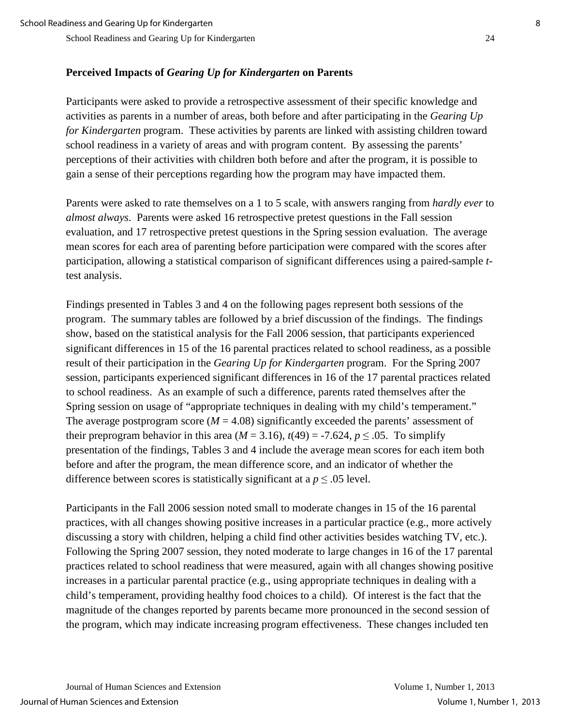## **Perceived Impacts of** *Gearing Up for Kindergarten* **on Parents**

Participants were asked to provide a retrospective assessment of their specific knowledge and activities as parents in a number of areas, both before and after participating in the *Gearing Up for Kindergarten* program. These activities by parents are linked with assisting children toward school readiness in a variety of areas and with program content. By assessing the parents' perceptions of their activities with children both before and after the program, it is possible to gain a sense of their perceptions regarding how the program may have impacted them.

Parents were asked to rate themselves on a 1 to 5 scale, with answers ranging from *hardly ever* to *almost always*. Parents were asked 16 retrospective pretest questions in the Fall session evaluation, and 17 retrospective pretest questions in the Spring session evaluation. The average mean scores for each area of parenting before participation were compared with the scores after participation, allowing a statistical comparison of significant differences using a paired-sample *t*test analysis.

Findings presented in Tables 3 and 4 on the following pages represent both sessions of the program. The summary tables are followed by a brief discussion of the findings. The findings show, based on the statistical analysis for the Fall 2006 session, that participants experienced significant differences in 15 of the 16 parental practices related to school readiness, as a possible result of their participation in the *Gearing Up for Kindergarten* program. For the Spring 2007 session, participants experienced significant differences in 16 of the 17 parental practices related to school readiness. As an example of such a difference, parents rated themselves after the Spring session on usage of "appropriate techniques in dealing with my child's temperament." The average postprogram score  $(M = 4.08)$  significantly exceeded the parents' assessment of their preprogram behavior in this area  $(M = 3.16)$ ,  $t(49) = -7.624$ ,  $p \le 0.05$ . To simplify presentation of the findings, Tables 3 and 4 include the average mean scores for each item both before and after the program, the mean difference score, and an indicator of whether the difference between scores is statistically significant at a  $p \leq 0.05$  level.

Participants in the Fall 2006 session noted small to moderate changes in 15 of the 16 parental practices, with all changes showing positive increases in a particular practice (e.g., more actively discussing a story with children, helping a child find other activities besides watching TV, etc.). Following the Spring 2007 session, they noted moderate to large changes in 16 of the 17 parental practices related to school readiness that were measured, again with all changes showing positive increases in a particular parental practice (e.g., using appropriate techniques in dealing with a child's temperament, providing healthy food choices to a child). Of interest is the fact that the magnitude of the changes reported by parents became more pronounced in the second session of the program, which may indicate increasing program effectiveness. These changes included ten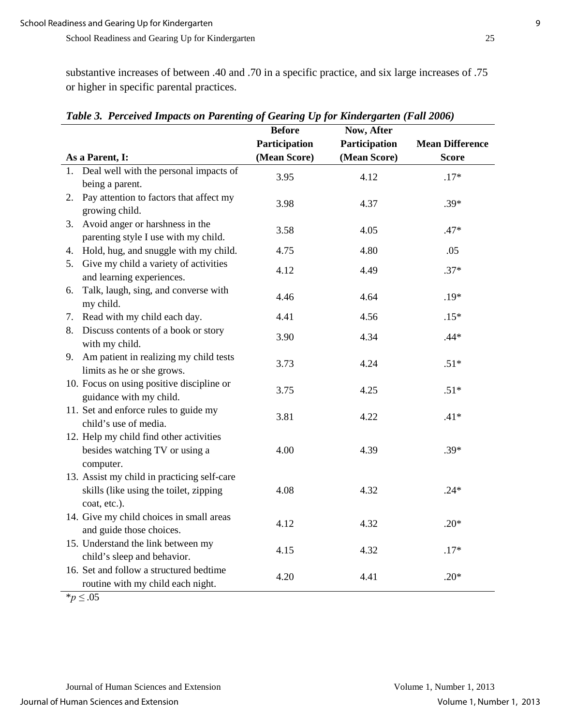substantive increases of between .40 and .70 in a specific practice, and six large increases of .75 or higher in specific parental practices.

|                 |                                                                                                       | <b>Before</b><br>Participation | Now, After<br>Participation | <b>Mean Difference</b> |
|-----------------|-------------------------------------------------------------------------------------------------------|--------------------------------|-----------------------------|------------------------|
| As a Parent, I: |                                                                                                       | (Mean Score)                   | (Mean Score)                | <b>Score</b>           |
| 1.              | Deal well with the personal impacts of                                                                | 3.95                           | 4.12                        | $.17*$                 |
|                 | being a parent.                                                                                       |                                |                             |                        |
| 2.              | Pay attention to factors that affect my<br>growing child.                                             | 3.98                           | 4.37                        | $.39*$                 |
| 3.              | Avoid anger or harshness in the<br>parenting style I use with my child.                               | 3.58                           | 4.05                        | $.47*$                 |
|                 | 4. Hold, hug, and snuggle with my child.                                                              | 4.75                           | 4.80                        | .05                    |
|                 | 5. Give my child a variety of activities<br>and learning experiences.                                 | 4.12                           | 4.49                        | $.37*$                 |
| 6.<br>my child. | Talk, laugh, sing, and converse with                                                                  | 4.46                           | 4.64                        | $.19*$                 |
| 7.              | Read with my child each day.                                                                          | 4.41                           | 4.56                        | $.15*$                 |
| 8.              | Discuss contents of a book or story<br>with my child.                                                 | 3.90                           | 4.34                        | $.44*$                 |
|                 | 9. Am patient in realizing my child tests<br>limits as he or she grows.                               | 3.73                           | 4.24                        | $.51*$                 |
|                 | 10. Focus on using positive discipline or<br>guidance with my child.                                  | 3.75                           | 4.25                        | $.51*$                 |
|                 | 11. Set and enforce rules to guide my<br>child's use of media.                                        | 3.81                           | 4.22                        | $.41*$                 |
|                 | 12. Help my child find other activities<br>besides watching TV or using a<br>computer.                | 4.00                           | 4.39                        | $.39*$                 |
|                 | 13. Assist my child in practicing self-care<br>skills (like using the toilet, zipping<br>coat, etc.). | 4.08                           | 4.32                        | $.24*$                 |
|                 | 14. Give my child choices in small areas<br>and guide those choices.                                  | 4.12                           | 4.32                        | $.20*$                 |
|                 | 15. Understand the link between my<br>child's sleep and behavior.                                     | 4.15                           | 4.32                        | $.17*$                 |
|                 | 16. Set and follow a structured bedtime<br>routine with my child each night.                          | 4.20                           | 4.41                        | $.20*$                 |
| $*_{n}$ / 05    |                                                                                                       |                                |                             |                        |

*Table 3. Perceived Impacts on Parenting of Gearing Up for Kindergarten (Fall 2006)* 

\**p ≤* .05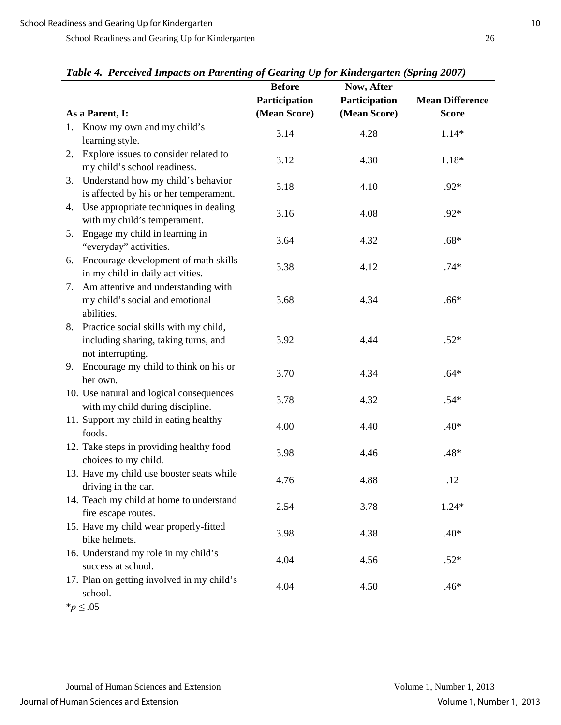|    |                                                                                                       | <b>Before</b> | $\frac{1}{2}$ $\frac{1}{2}$ $\frac{1}{2}$ $\frac{1}{2}$ $\frac{1}{2}$ $\frac{1}{2}$ $\frac{1}{2}$ $\frac{1}{2}$ $\frac{1}{2}$ $\frac{1}{2}$ $\frac{1}{2}$ $\frac{1}{2}$ $\frac{1}{2}$ $\frac{1}{2}$ $\frac{1}{2}$ $\frac{1}{2}$ $\frac{1}{2}$ $\frac{1}{2}$ $\frac{1}{2}$ $\frac{1}{2}$ $\frac{1}{2}$ $\frac{1}{2}$<br>Now, After |                        |
|----|-------------------------------------------------------------------------------------------------------|---------------|-----------------------------------------------------------------------------------------------------------------------------------------------------------------------------------------------------------------------------------------------------------------------------------------------------------------------------------|------------------------|
|    |                                                                                                       | Participation | Participation                                                                                                                                                                                                                                                                                                                     | <b>Mean Difference</b> |
|    | As a Parent, I:                                                                                       | (Mean Score)  | (Mean Score)                                                                                                                                                                                                                                                                                                                      | <b>Score</b>           |
|    | 1. Know my own and my child's                                                                         | 3.14          | 4.28                                                                                                                                                                                                                                                                                                                              | $1.14*$                |
|    | learning style.                                                                                       |               |                                                                                                                                                                                                                                                                                                                                   |                        |
| 2. | Explore issues to consider related to<br>my child's school readiness.                                 | 3.12          | 4.30                                                                                                                                                                                                                                                                                                                              | $1.18*$                |
| 3. | Understand how my child's behavior<br>is affected by his or her temperament.                          | 3.18          | 4.10                                                                                                                                                                                                                                                                                                                              | $.92*$                 |
| 4. | Use appropriate techniques in dealing<br>with my child's temperament.                                 | 3.16          | 4.08                                                                                                                                                                                                                                                                                                                              | $.92*$                 |
| 5. | Engage my child in learning in<br>"everyday" activities.                                              | 3.64          | 4.32                                                                                                                                                                                                                                                                                                                              | $.68*$                 |
| 6. | Encourage development of math skills<br>in my child in daily activities.                              | 3.38          | 4.12                                                                                                                                                                                                                                                                                                                              | $.74*$                 |
| 7. | Am attentive and understanding with<br>my child's social and emotional<br>abilities.                  | 3.68          | 4.34                                                                                                                                                                                                                                                                                                                              | $.66*$                 |
|    | 8. Practice social skills with my child,<br>including sharing, taking turns, and<br>not interrupting. | 3.92          | 4.44                                                                                                                                                                                                                                                                                                                              | $.52*$                 |
|    | 9. Encourage my child to think on his or<br>her own.                                                  | 3.70          | 4.34                                                                                                                                                                                                                                                                                                                              | $.64*$                 |
|    | 10. Use natural and logical consequences<br>with my child during discipline.                          | 3.78          | 4.32                                                                                                                                                                                                                                                                                                                              | $.54*$                 |
|    | 11. Support my child in eating healthy<br>foods.                                                      | 4.00          | 4.40                                                                                                                                                                                                                                                                                                                              | $.40*$                 |
|    | 12. Take steps in providing healthy food<br>choices to my child.                                      | 3.98          | 4.46                                                                                                                                                                                                                                                                                                                              | $.48*$                 |
|    | 13. Have my child use booster seats while<br>driving in the car.                                      | 4.76          | 4.88                                                                                                                                                                                                                                                                                                                              | .12                    |
|    | 14. Teach my child at home to understand<br>fire escape routes.                                       | 2.54          | 3.78                                                                                                                                                                                                                                                                                                                              | $1.24*$                |
|    | 15. Have my child wear properly-fitted<br>bike helmets.                                               | 3.98          | 4.38                                                                                                                                                                                                                                                                                                                              | $.40*$                 |
|    | 16. Understand my role in my child's<br>success at school.                                            | 4.04          | 4.56                                                                                                                                                                                                                                                                                                                              | $.52*$                 |
|    | 17. Plan on getting involved in my child's<br>school.                                                 | 4.04          | 4.50                                                                                                                                                                                                                                                                                                                              | .46*                   |

*Table 4. Perceived Impacts on Parenting of Gearing Up for Kindergarten (Spring 2007)* 

\**p ≤* .05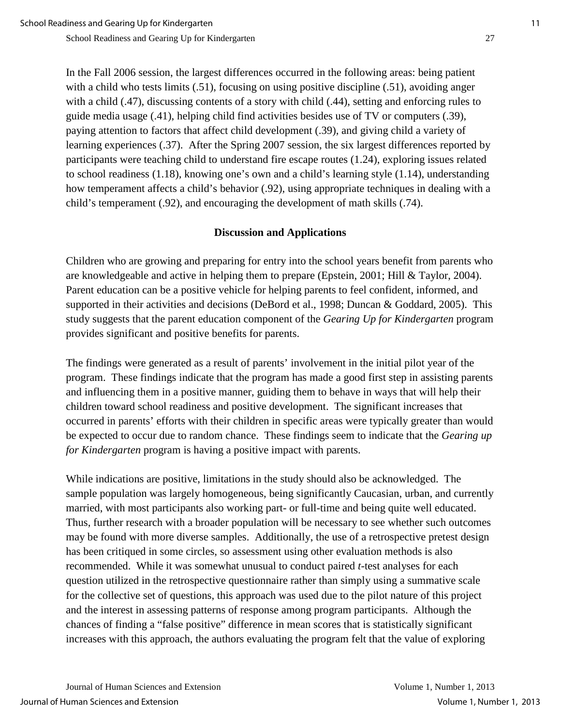School Readiness and Gearing Up for Kindergarten 11 and 2008 12 and 2008 12 and 2008 12 and 2008 12 and 2008 1

School Readiness and Gearing Up for Kindergarten 27

In the Fall 2006 session, the largest differences occurred in the following areas: being patient with a child who tests limits (.51), focusing on using positive discipline (.51), avoiding anger with a child (.47), discussing contents of a story with child (.44), setting and enforcing rules to guide media usage (.41), helping child find activities besides use of TV or computers (.39), paying attention to factors that affect child development (.39), and giving child a variety of learning experiences (.37). After the Spring 2007 session, the six largest differences reported by participants were teaching child to understand fire escape routes (1.24), exploring issues related to school readiness (1.18), knowing one's own and a child's learning style (1.14), understanding how temperament affects a child's behavior (.92), using appropriate techniques in dealing with a child's temperament (.92), and encouraging the development of math skills (.74).

#### **Discussion and Applications**

Children who are growing and preparing for entry into the school years benefit from parents who are knowledgeable and active in helping them to prepare (Epstein, 2001; Hill & Taylor, 2004). Parent education can be a positive vehicle for helping parents to feel confident, informed, and supported in their activities and decisions (DeBord et al., 1998; Duncan & Goddard, 2005). This study suggests that the parent education component of the *Gearing Up for Kindergarten* program provides significant and positive benefits for parents.

The findings were generated as a result of parents' involvement in the initial pilot year of the program. These findings indicate that the program has made a good first step in assisting parents and influencing them in a positive manner, guiding them to behave in ways that will help their children toward school readiness and positive development. The significant increases that occurred in parents' efforts with their children in specific areas were typically greater than would be expected to occur due to random chance. These findings seem to indicate that the *Gearing up for Kindergarten* program is having a positive impact with parents.

While indications are positive, limitations in the study should also be acknowledged. The sample population was largely homogeneous, being significantly Caucasian, urban, and currently married, with most participants also working part- or full-time and being quite well educated. Thus, further research with a broader population will be necessary to see whether such outcomes may be found with more diverse samples. Additionally, the use of a retrospective pretest design has been critiqued in some circles, so assessment using other evaluation methods is also recommended. While it was somewhat unusual to conduct paired *t*-test analyses for each question utilized in the retrospective questionnaire rather than simply using a summative scale for the collective set of questions, this approach was used due to the pilot nature of this project and the interest in assessing patterns of response among program participants. Although the chances of finding a "false positive" difference in mean scores that is statistically significant increases with this approach, the authors evaluating the program felt that the value of exploring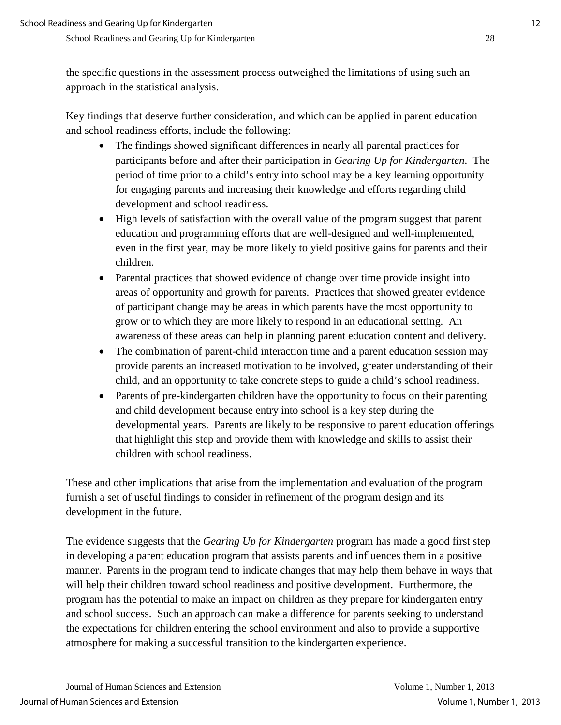the specific questions in the assessment process outweighed the limitations of using such an approach in the statistical analysis.

Key findings that deserve further consideration, and which can be applied in parent education and school readiness efforts, include the following:

- The findings showed significant differences in nearly all parental practices for participants before and after their participation in *Gearing Up for Kindergarten*. The period of time prior to a child's entry into school may be a key learning opportunity for engaging parents and increasing their knowledge and efforts regarding child development and school readiness.
- High levels of satisfaction with the overall value of the program suggest that parent education and programming efforts that are well-designed and well-implemented, even in the first year, may be more likely to yield positive gains for parents and their children.
- Parental practices that showed evidence of change over time provide insight into areas of opportunity and growth for parents. Practices that showed greater evidence of participant change may be areas in which parents have the most opportunity to grow or to which they are more likely to respond in an educational setting. An awareness of these areas can help in planning parent education content and delivery.
- The combination of parent-child interaction time and a parent education session may provide parents an increased motivation to be involved, greater understanding of their child, and an opportunity to take concrete steps to guide a child's school readiness.
- Parents of pre-kindergarten children have the opportunity to focus on their parenting and child development because entry into school is a key step during the developmental years. Parents are likely to be responsive to parent education offerings that highlight this step and provide them with knowledge and skills to assist their children with school readiness.

These and other implications that arise from the implementation and evaluation of the program furnish a set of useful findings to consider in refinement of the program design and its development in the future.

The evidence suggests that the *Gearing Up for Kindergarten* program has made a good first step in developing a parent education program that assists parents and influences them in a positive manner. Parents in the program tend to indicate changes that may help them behave in ways that will help their children toward school readiness and positive development. Furthermore, the program has the potential to make an impact on children as they prepare for kindergarten entry and school success. Such an approach can make a difference for parents seeking to understand the expectations for children entering the school environment and also to provide a supportive atmosphere for making a successful transition to the kindergarten experience.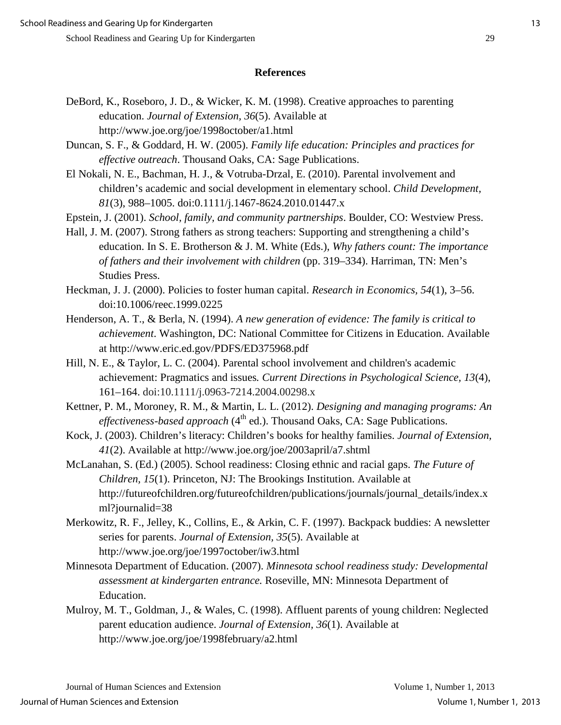#### **References**

- DeBord, K., Roseboro, J. D., & Wicker, K. M. (1998). Creative approaches to parenting education. *Journal of Extension, 36*(5). Available at http://www.joe.org/joe/1998october/a1.html
- Duncan, S. F., & Goddard, H. W. (2005). *Family life education: Principles and practices for effective outreach*. Thousand Oaks, CA: Sage Publications.
- El Nokali, N. E., Bachman, H. J., & Votruba-Drzal, E. (2010). Parental involvement and children's academic and social development in elementary school. *Child Development, 81*(3), 988–1005. doi:0.1111/j.1467-8624.2010.01447.x
- Epstein, J. (2001). *School, family, and community partnerships*. Boulder, CO: Westview Press.
- Hall, J. M. (2007). Strong fathers as strong teachers: Supporting and strengthening a child's education. In S. E. Brotherson & J. M. White (Eds.), *Why fathers count: The importance of fathers and their involvement with children* (pp. 319–334). Harriman, TN: Men's Studies Press.
- Heckman, J. J. (2000). Policies to foster human capital. *Research in Economics, 54*(1), 3–56. doi:10.1006/reec.1999.0225
- Henderson, A. T., & Berla, N. (1994). *A new generation of evidence: The family is critical to achievement*. Washington, DC: National Committee for Citizens in Education. Available at http://www.eric.ed.gov/PDFS/ED375968.pdf
- Hill, N. E., & Taylor, L. C. (2004). Parental school involvement and children's academic achievement: Pragmatics and issues*. Current Directions in Psychological Science, 13*(4), 161–164. doi:10.1111/j.0963-7214.2004.00298.x
- Kettner, P. M., Moroney, R. M., & Martin, L. L. (2012). *Designing and managing programs: An effectiveness-based approach* (4<sup>th</sup> ed.). Thousand Oaks, CA: Sage Publications.
- Kock, J. (2003). Children's literacy: Children's books for healthy families. *Journal of Extension, 41*(2). Available at http://www.joe.org/joe/2003april/a7.shtml
- McLanahan, S. (Ed.) (2005). School readiness: Closing ethnic and racial gaps. *The Future of Children, 15*(1). Princeton, NJ: The Brookings Institution. Available at http://futureofchildren.org/futureofchildren/publications/journals/journal\_details/index.x ml?journalid=38
- Merkowitz, R. F., Jelley, K., Collins, E., & Arkin, C. F. (1997). Backpack buddies: A newsletter series for parents. *Journal of Extension, 35*(5). Available at http://www.joe.org/joe/1997october/iw3.html
- Minnesota Department of Education. (2007). *Minnesota school readiness study: Developmental assessment at kindergarten entrance.* Roseville, MN: Minnesota Department of Education.
- Mulroy, M. T., Goldman, J., & Wales, C. (1998). Affluent parents of young children: Neglected parent education audience. *Journal of Extension, 36*(1). Available at http://www.joe.org/joe/1998february/a2.html